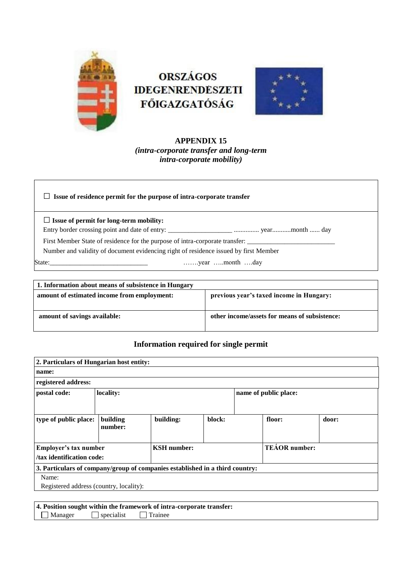

# **ORSZÁGOS IDEGENRENDESZETI** FŐIGAZGATÓSÁG



# **APPENDIX 15** *(intra-corporate transfer and long-term intra-corporate mobility)*

□ **Issue of residence permit for the purpose of intra-corporate transfer** 

□**Issue of permit for long-term mobility:** 

Entry border crossing point and date of entry: \_\_\_\_\_\_\_\_\_\_\_\_\_\_\_\_\_\_\_ ............... year...........month ...... day

First Member State of residence for the purpose of intra-corporate transfer:

Number and validity of document evidencing right of residence issued by first Member

State:\_\_\_\_\_\_\_\_\_\_\_\_\_\_\_\_\_\_\_\_\_\_\_\_\_\_\_\_\_ …….year …..month ….day

| 1. Information about means of subsistence in Hungary |                                               |  |  |  |
|------------------------------------------------------|-----------------------------------------------|--|--|--|
| amount of estimated income from employment:          | previous year's taxed income in Hungary:      |  |  |  |
| amount of savings available:                         | other income/assets for means of subsistence: |  |  |  |

# **Information required for single permit**

| 2. Particulars of Hungarian host entity:                                     |                                                                          |           |                       |                      |        |       |  |
|------------------------------------------------------------------------------|--------------------------------------------------------------------------|-----------|-----------------------|----------------------|--------|-------|--|
| name:                                                                        |                                                                          |           |                       |                      |        |       |  |
| registered address:                                                          |                                                                          |           |                       |                      |        |       |  |
| postal code:                                                                 | locality:                                                                |           | name of public place: |                      |        |       |  |
|                                                                              |                                                                          |           |                       |                      |        |       |  |
| type of public place:                                                        | building<br>number:                                                      | building: | block:                |                      | floor: | door: |  |
|                                                                              | <b>KSH</b> number:<br>Employer's tax number<br>/tax identification code: |           |                       | <b>TEÁOR</b> number: |        |       |  |
| 3. Particulars of company/group of companies established in a third country: |                                                                          |           |                       |                      |        |       |  |
| Name:                                                                        |                                                                          |           |                       |                      |        |       |  |
| Registered address (country, locality):                                      |                                                                          |           |                       |                      |        |       |  |

**4. Position sought within the framework of intra-corporate transfer:**  $\Box$  Manager  $\Box$  specialist  $\Box$  Trainee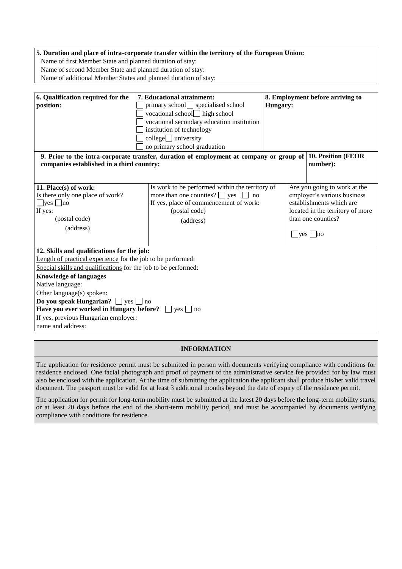## **5. Duration and place of intra-corporate transfer within the territory of the European Union:**

Name of first Member State and planned duration of stay:

Name of second Member State and planned duration of stay:

Name of additional Member States and planned duration of stay:

| 6. Qualification required for the                              | 7. Educational attainment:                                                              | 8. Employment before arriving to                                        |                                  |  |  |
|----------------------------------------------------------------|-----------------------------------------------------------------------------------------|-------------------------------------------------------------------------|----------------------------------|--|--|
| position:                                                      | primary school specialised school                                                       | Hungary:                                                                |                                  |  |  |
|                                                                | vocational school $\Box$ high school                                                    |                                                                         |                                  |  |  |
|                                                                | vocational secondary education institution                                              |                                                                         |                                  |  |  |
|                                                                | institution of technology                                                               |                                                                         |                                  |  |  |
|                                                                | $\text{collecting }$ university                                                         |                                                                         |                                  |  |  |
|                                                                | no primary school graduation                                                            |                                                                         |                                  |  |  |
|                                                                | 9. Prior to the intra-corporate transfer, duration of employment at company or group of |                                                                         | 10. Position (FEOR               |  |  |
| companies established in a third country:                      | number):                                                                                |                                                                         |                                  |  |  |
|                                                                |                                                                                         |                                                                         |                                  |  |  |
|                                                                |                                                                                         |                                                                         | Are you going to work at the     |  |  |
| 11. Place(s) of work:                                          |                                                                                         | Is work to be performed within the territory of                         |                                  |  |  |
| Is there only one place of work?                               |                                                                                         | more than one counties? $\Box$ yes<br>employer's various business<br>no |                                  |  |  |
| $\Box$ yes $\Box$ no                                           | If yes, place of commencement of work:                                                  |                                                                         | establishments which are         |  |  |
| If yes:                                                        | (postal code)                                                                           |                                                                         | located in the territory of more |  |  |
| (postal code)                                                  | (address)                                                                               |                                                                         | than one counties?               |  |  |
| (address)                                                      |                                                                                         |                                                                         |                                  |  |  |
|                                                                |                                                                                         |                                                                         | $\Box$ yes $\Box$ no             |  |  |
| 12. Skills and qualifications for the job:                     |                                                                                         |                                                                         |                                  |  |  |
| Length of practical experience for the job to be performed:    |                                                                                         |                                                                         |                                  |  |  |
| Special skills and qualifications for the job to be performed: |                                                                                         |                                                                         |                                  |  |  |
| <b>Knowledge of languages</b>                                  |                                                                                         |                                                                         |                                  |  |  |
| Native language:                                               |                                                                                         |                                                                         |                                  |  |  |
| Other language(s) spoken:                                      |                                                                                         |                                                                         |                                  |  |  |
| Do you speak Hungarian? $\Box$ yes $\Box$ no                   |                                                                                         |                                                                         |                                  |  |  |
| Have you ever worked in Hungary before? $\Box$ yes $\Box$ no   |                                                                                         |                                                                         |                                  |  |  |
| If yes, previous Hungarian employer:                           |                                                                                         |                                                                         |                                  |  |  |
| name and address:                                              |                                                                                         |                                                                         |                                  |  |  |

#### **INFORMATION**

The application for residence permit must be submitted in person with documents verifying compliance with conditions for residence enclosed. One facial photograph and proof of payment of the administrative service fee provided for by law must also be enclosed with the application. At the time of submitting the application the applicant shall produce his/her valid travel document. The passport must be valid for at least 3 additional months beyond the date of expiry of the residence permit.

The application for permit for long-term mobility must be submitted at the latest 20 days before the long-term mobility starts, or at least 20 days before the end of the short-term mobility period, and must be accompanied by documents verifying compliance with conditions for residence.